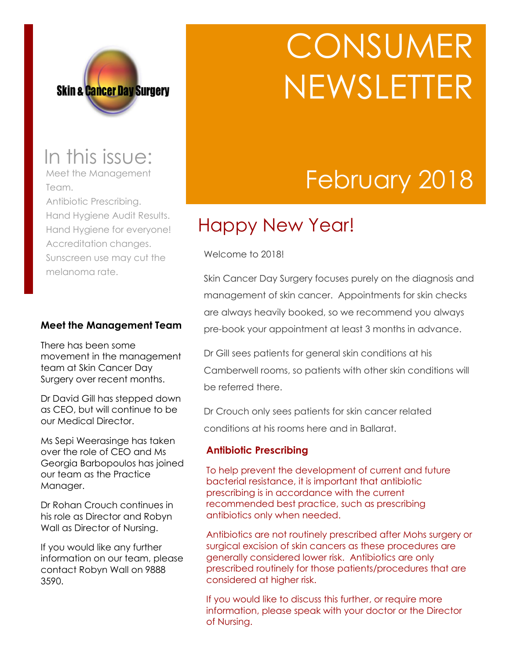

# **CONSUMER** NEWSLETTER

## February 2018

### Happy New Year!

Welcome to 2018!

Skin Cancer Day Surgery focuses purely on the diagnosis and management of skin cancer. Appointments for skin checks are always heavily booked, so we recommend you always pre-book your appointment at least 3 months in advance.

Dr Gill sees patients for general skin conditions at his Camberwell rooms, so patients with other skin conditions will be referred there.

Dr Crouch only sees patients for skin cancer related conditions at his rooms here and in Ballarat.

#### **Antibiotic Prescribing**

To help prevent the development of current and future bacterial resistance, it is important that antibiotic prescribing is in accordance with the current recommended best practice, such as prescribing antibiotics only when needed.

Antibiotics are not routinely prescribed after Mohs surgery or surgical excision of skin cancers as these procedures are generally considered lower risk. Antibiotics are only prescribed routinely for those patients/procedures that are considered at higher risk.

If you would like to discuss this further, or require more information, please speak with your doctor or the Director of Nursing.

### In this issue:

Meet the Management Team.

Antibiotic Prescribing. Hand Hygiene Audit Results. Hand Hygiene for everyone! Accreditation changes. Sunscreen use may cut the melanoma rate.

#### **Meet the Management Team**

There has been some movement in the management team at Skin Cancer Day Surgery over recent months.

Dr David Gill has stepped down as CEO, but will continue to be our Medical Director.

Ms Sepi Weerasinge has taken over the role of CEO and Ms Georgia Barbopoulos has joined our team as the Practice Manager.

Dr Rohan Crouch continues in his role as Director and Robyn Wall as Director of Nursing.

If you would like any further information on our team, please contact Robyn Wall on 9888 3590.